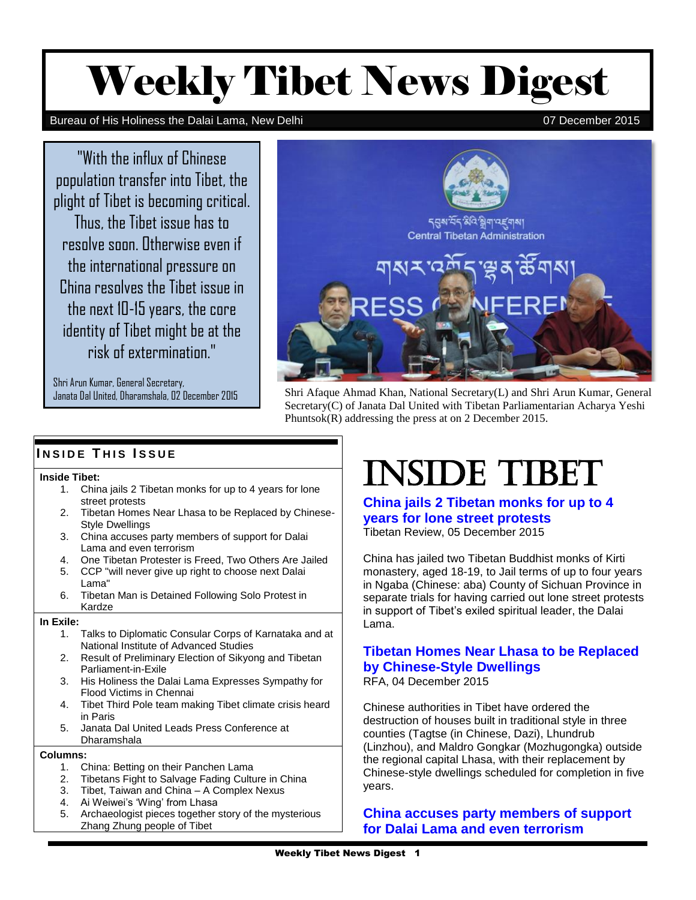# Weekly Tibet News Digest

#### Bureau of His Holiness the Dalai Lama, New Delhi 07 December 2015

"With the influx of Chinese population transfer into Tibet, the plight of Tibet is becoming critical. Thus, the Tibet issue has to resolve soon. Otherwise even if the international pressure on China resolves the Tibet issue in the next 10-15 years, the core identity of Tibet might be at the risk of extermination."

Shri Arun Kumar, General Secretary,



nad<br>ana<br>res: Janata Dal United, Dharamshala, 02 December 2015 Shri Afaque Ahmad Khan, National Secretary(L) and Shri Arun Kumar, General Secretary(C) of Janata Dal United with Tibetan Parliamentarian Acharya Yeshi Phuntsok(R) addressing the press at on 2 December 2015.

# **I N S I D E T H I S I S S U E**

#### **Inside Tibet:**

- 1. China jails 2 Tibetan monks for up to 4 years for lone street protests
- 2. Tibetan Homes Near Lhasa to be Replaced by Chinese-Style Dwellings
- 3. China accuses party members of support for Dalai Lama and even terrorism
- 4. One Tibetan Protester is Freed, Two Others Are Jailed
- 5. CCP "will never give up right to choose next Dalai Lama"
- 6. Tibetan Man is Detained Following Solo Protest in Kardze

#### **In Exile:**

- 1. Talks to Diplomatic Consular Corps of Karnataka and at National Institute of Advanced Studies
- 2. Result of Preliminary Election of Sikyong and Tibetan Parliament-in-Exile
- 3. His Holiness the Dalai Lama Expresses Sympathy for Flood Victims in Chennai
- 4. Tibet Third Pole team making Tibet climate crisis heard in Paris
- 5. Janata Dal United Leads Press Conference at Dharamshala

#### **Columns:**

- 1. China: Betting on their Panchen Lama
- 2. Tibetans Fight to Salvage Fading Culture in China
- 3. Tibet, Taiwan and China A Complex Nexus
- 4. Ai Weiwei's 'Wing' from Lhasa
- 5. Archaeologist pieces together story of the mysterious Zhang Zhung people of Tibet

# INSIDE TIBET

**[China jails 2 Tibetan monks for up to 4](http://www.tibetanreview.net/china-jails-2-tibetan-monks-for-up-to-4-years-for-lone-street-protests/)  [years for lone street protests](http://www.tibetanreview.net/china-jails-2-tibetan-monks-for-up-to-4-years-for-lone-street-protests/)** Tibetan Review, 05 December 2015

China has jailed two Tibetan Buddhist monks of Kirti monastery, aged 18-19, to Jail terms of up to four years in Ngaba (Chinese: aba) County of Sichuan Province in separate trials for having carried out lone street protests in support of Tibet's exiled spiritual leader, the Dalai Lama.

# **[Tibetan Homes Near Lhasa to be Replaced](http://www.rfa.org/english/news/tibet/dwellings-12042015153210.html)  [by Chinese-Style Dwellings](http://www.rfa.org/english/news/tibet/dwellings-12042015153210.html)**

RFA, 04 December 2015

Chinese authorities in Tibet have ordered the destruction of houses built in traditional style in three counties (Tagtse (in Chinese, Dazi), Lhundrub (Linzhou), and Maldro Gongkar (Mozhugongka) outside the regional capital Lhasa, with their replacement by Chinese-style dwellings scheduled for completion in five years.

# **[China accuses party members of support](https://www.washingtonpost.com/world/china-accuses-cadres-of-disloyalty-supporting-terrorism-islam-the-dalai-lama/2015/12/04/66df6d47-8f80-49d8-b4a4-47576d6b67a8_story.html)  [for Dalai Lama and even terrorism](https://www.washingtonpost.com/world/china-accuses-cadres-of-disloyalty-supporting-terrorism-islam-the-dalai-lama/2015/12/04/66df6d47-8f80-49d8-b4a4-47576d6b67a8_story.html)**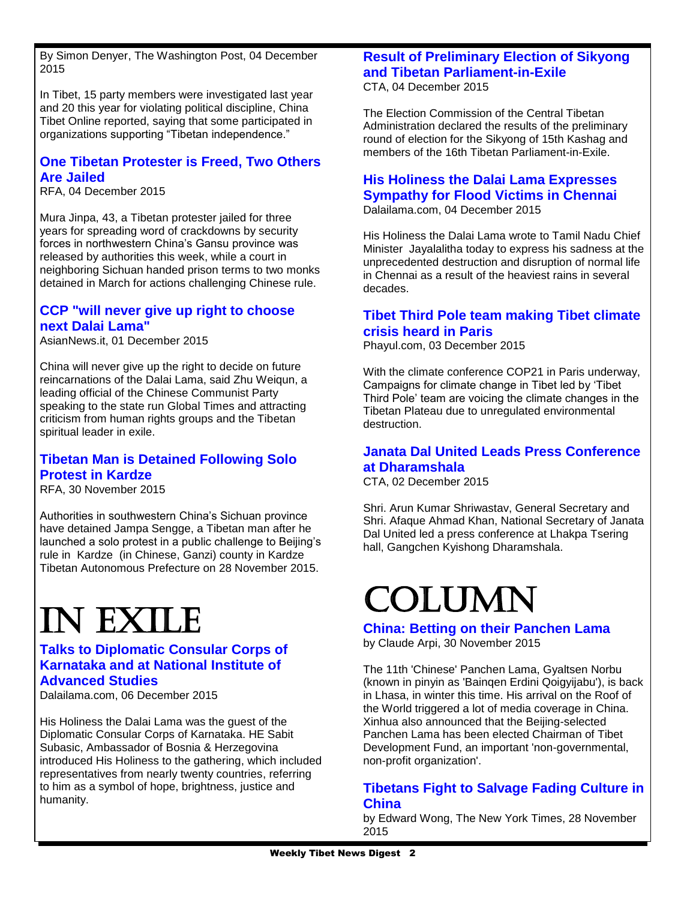By Simon Denyer, The Washington Post, 04 December 2015

In Tibet, 15 party members were investigated last year and 20 this year for violating political discipline, China Tibet Online reported, saying that some participated in organizations supporting "Tibetan independence."

# **[One Tibetan Protester is Freed, Two Others](http://www.rfa.org/english/news/tibet/freed-12042015165254.html)  [Are Jailed](http://www.rfa.org/english/news/tibet/freed-12042015165254.html)**

RFA, 04 December 2015

Mura Jinpa, 43, a Tibetan protester jailed for three years for spreading word of crackdowns by security forces in northwestern China's Gansu province was released by authorities this week, while a court in neighboring Sichuan handed prison terms to two monks detained in March for actions challenging Chinese rule.

# **[CCP "will never give up right to choose](http://www.asianews.it/news-en/CCP-will-never-give-up-right-to-choose-next-Dalai-Lama-36026.html)  [next Dalai Lama"](http://www.asianews.it/news-en/CCP-will-never-give-up-right-to-choose-next-Dalai-Lama-36026.html)**

AsianNews.it, 01 December 2015

China will never give up the right to decide on future reincarnations of the Dalai Lama, said Zhu Weiqun, a leading official of the Chinese Communist Party speaking to the state run Global Times and attracting criticism from human rights groups and the Tibetan spiritual leader in exile.

# **[Tibetan Man is Detained Following Solo](http://www.rfa.org/english/news/tibet/solo-11302015142320.html)  [Protest in Kardze](http://www.rfa.org/english/news/tibet/solo-11302015142320.html)**

RFA, 30 November 2015

Authorities in southwestern China's Sichuan province have detained Jampa Sengge, a Tibetan man after he launched a solo protest in a public challenge to Beijing's rule in Kardze (in Chinese, Ganzi) county in Kardze Tibetan Autonomous Prefecture on 28 November 2015.

# In exile

# **[Talks to Diplomatic Consular Corps of](http://dalailama.com/news/post/1337-talks-to-diplomatic-consular-corps-of-karnataka-and-at-national-institute-of-advanced-studies)  [Karnataka and at National Institute of](http://dalailama.com/news/post/1337-talks-to-diplomatic-consular-corps-of-karnataka-and-at-national-institute-of-advanced-studies)  [Advanced Studies](http://dalailama.com/news/post/1337-talks-to-diplomatic-consular-corps-of-karnataka-and-at-national-institute-of-advanced-studies)**

Dalailama.com, 06 December 2015

His Holiness the Dalai Lama was the guest of the Diplomatic Consular Corps of Karnataka. HE Sabit Subasic, Ambassador of Bosnia & Herzegovina introduced His Holiness to the gathering, which included representatives from nearly twenty countries, referring to him as a symbol of hope, brightness, justice and humanity.

#### **[Result of Preliminary Election of Sikyong](http://tibet.net/2015/12/election-commission-declares-result-of-preliminary-election-for-sikyong-and-tibetan-parliament-in-exile/)  [and Tibetan Parliament-in-Exile](http://tibet.net/2015/12/election-commission-declares-result-of-preliminary-election-for-sikyong-and-tibetan-parliament-in-exile/)** CTA, 04 December 2015

The Election Commission of the Central Tibetan Administration declared the results of the preliminary round of election for the Sikyong of 15th Kashag and members of the 16th Tibetan Parliament-in-Exile.

#### **[His Holiness the Dalai Lama Expresses](http://dalailama.com/news/post/1335-his-holiness-the-dalai-lama-expresses-sympathy-for-flood-victims-in-chennai)  [Sympathy for Flood Victims in Chennai](http://dalailama.com/news/post/1335-his-holiness-the-dalai-lama-expresses-sympathy-for-flood-victims-in-chennai)** Dalailama.com, 04 December 2015

His Holiness the Dalai Lama wrote to Tamil Nadu Chief Minister Jayalalitha today to express his sadness at the unprecedented destruction and disruption of normal life in Chennai as a result of the heaviest rains in several decades.

### **[Tibet Third Pole team making Tibet climate](http://www.phayul.com/news/article.aspx?id=36810&article=Tibet+Third+Pole+team+making+Tibet+climate+crisis+heard+in+Paris)  [crisis heard in Paris](http://www.phayul.com/news/article.aspx?id=36810&article=Tibet+Third+Pole+team+making+Tibet+climate+crisis+heard+in+Paris)**

Phayul.com, 03 December 2015

With the climate conference COP21 in Paris underway, Campaigns for climate change in Tibet led by 'Tibet Third Pole' team are voicing the climate changes in the Tibetan Plateau due to unregulated environmental destruction.

### **[Janata Dal United Leads Press Conference](http://tibet.net/2015/12/janata-dal-united-leads-press-conference-at-dharamshala/)  [at Dharamshala](http://tibet.net/2015/12/janata-dal-united-leads-press-conference-at-dharamshala/)**

CTA, 02 December 2015

Shri. Arun Kumar Shriwastav, General Secretary and Shri. Afaque Ahmad Khan, National Secretary of Janata Dal United led a press conference at Lhakpa Tsering hall, Gangchen Kyishong Dharamshala.

# Column

**[China: Betting on their Panchen Lama](http://claudearpi.blogspot.in/2015/11/china-betting-on-their-panchen-lama.html)** by Claude Arpi, 30 November 2015

The 11th 'Chinese' Panchen Lama, Gyaltsen Norbu (known in pinyin as 'Bainqen Erdini Qoigyijabu'), is back in Lhasa, in winter this time. His arrival on the Roof of the World triggered a lot of media coverage in China. Xinhua also announced that the Beijing-selected Panchen Lama has been elected Chairman of Tibet Development Fund, an important 'non-governmental, non-profit organization'.

# **[Tibetans Fight to Salvage Fading Culture in](http://www.nytimes.com/2015/11/29/world/asia/china-tibet-language-education.html)  [China](http://www.nytimes.com/2015/11/29/world/asia/china-tibet-language-education.html)**

by Edward Wong, The New York Times, 28 November 2015